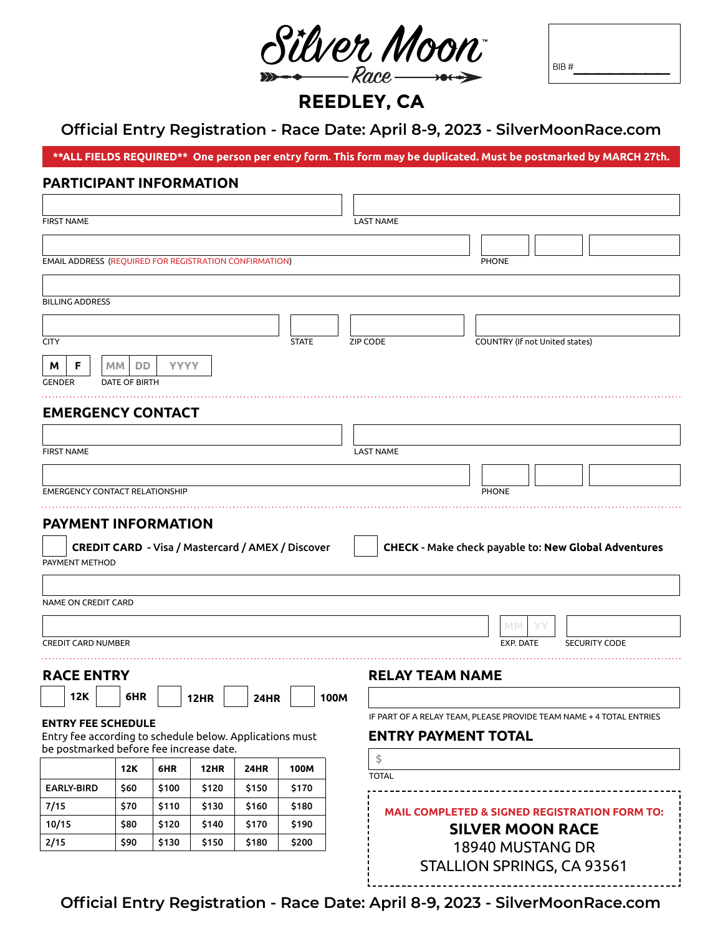

| BIB# |  |  |  |
|------|--|--|--|

**REEDLEY, CA**

# **Official Entry Registration - Race Date: April 8-9, 2023 - SilverMoonRace.com**

**\*\*ALL FIELDS REQUIRED\*\* One person per entry form. This form may be duplicated. Must be postmarked by MARCH 27th.**

## **PARTICIPANT INFORMATION**

| <b>FIRST NAME</b>                                                                                   |                           |           |                            |       |             |  |                                                          |              |      | <b>LAST NAME</b>                                                    |
|-----------------------------------------------------------------------------------------------------|---------------------------|-----------|----------------------------|-------|-------------|--|----------------------------------------------------------|--------------|------|---------------------------------------------------------------------|
|                                                                                                     |                           |           |                            |       |             |  |                                                          |              |      |                                                                     |
|                                                                                                     |                           |           |                            |       |             |  | EMAIL ADDRESS (REQUIRED FOR REGISTRATION CONFIRMATION)   |              |      | <b>PHONE</b>                                                        |
|                                                                                                     |                           |           |                            |       |             |  |                                                          |              |      |                                                                     |
|                                                                                                     | <b>BILLING ADDRESS</b>    |           |                            |       |             |  |                                                          |              |      |                                                                     |
|                                                                                                     |                           |           |                            |       |             |  |                                                          |              |      |                                                                     |
| <b>CITY</b>                                                                                         |                           |           |                            |       |             |  |                                                          | <b>STATE</b> |      | COUNTRY (If not United states)<br><b>ZIP CODE</b>                   |
| M                                                                                                   | F                         | <b>MM</b> | DD                         |       | <b>YYYY</b> |  |                                                          |              |      |                                                                     |
| GENDER                                                                                              |                           |           | DATE OF BIRTH              |       |             |  |                                                          |              |      |                                                                     |
|                                                                                                     |                           |           |                            |       |             |  |                                                          |              |      |                                                                     |
|                                                                                                     |                           |           | <b>EMERGENCY CONTACT</b>   |       |             |  |                                                          |              |      |                                                                     |
|                                                                                                     |                           |           |                            |       |             |  |                                                          |              |      |                                                                     |
| <b>FIRST NAME</b>                                                                                   |                           |           |                            |       |             |  |                                                          |              |      | <b>LAST NAME</b>                                                    |
|                                                                                                     |                           |           |                            |       |             |  |                                                          |              |      |                                                                     |
| <b>EMERGENCY CONTACT RELATIONSHIP</b>                                                               |                           |           |                            |       |             |  | <b>PHONE</b>                                             |              |      |                                                                     |
|                                                                                                     |                           |           |                            |       |             |  |                                                          |              |      |                                                                     |
|                                                                                                     | PAYMENT METHOD            |           | <b>PAYMENT INFORMATION</b> |       |             |  | <b>CREDIT CARD - Visa / Mastercard / AMEX / Discover</b> |              |      | CHECK - Make check payable to: New Global Adventures                |
|                                                                                                     |                           |           |                            |       |             |  |                                                          |              |      |                                                                     |
|                                                                                                     | NAME ON CREDIT CARD       |           |                            |       |             |  |                                                          |              |      |                                                                     |
|                                                                                                     |                           |           |                            |       |             |  |                                                          |              |      | <b>MM</b>                                                           |
|                                                                                                     | <b>CREDIT CARD NUMBER</b> |           |                            |       |             |  |                                                          |              |      | EXP. DATE<br><b>SECURITY CODE</b>                                   |
|                                                                                                     | <b>RACE ENTRY</b>         |           |                            |       |             |  |                                                          |              |      | <b>RELAY TEAM NAME</b>                                              |
|                                                                                                     | <b>12K</b>                |           | 6HR                        |       | <b>12HR</b> |  | <b>24HR</b>                                              |              | 100M |                                                                     |
|                                                                                                     |                           |           |                            |       |             |  |                                                          |              |      | IF PART OF A RELAY TEAM, PLEASE PROVIDE TEAM NAME + 4 TOTAL ENTRIES |
|                                                                                                     |                           |           | <b>ENTRY FEE SCHEDULE</b>  |       |             |  |                                                          |              |      | <b>ENTRY PAYMENT TOTAL</b>                                          |
| Entry fee according to schedule below. Applications must<br>be postmarked before fee increase date. |                           |           |                            |       |             |  |                                                          |              |      |                                                                     |
|                                                                                                     |                           |           | <b>12K</b>                 | 6HR   | 12HR        |  | 24HR                                                     | 100M         |      | \$<br><b>TOTAL</b>                                                  |
|                                                                                                     | <b>EARLY-BIRD</b>         |           | \$60                       | \$100 | \$120       |  | \$150                                                    | \$170        |      |                                                                     |
| 7/15                                                                                                |                           |           | \$70                       | \$110 | \$130       |  | \$160                                                    | \$180        |      | <b>MAIL COMPLETED &amp; SIGNED REGISTRATION FORM TO:</b>            |
| 10/15                                                                                               |                           |           | \$80                       | \$120 | \$140       |  | \$170                                                    | \$190        |      | <b>SILVER MOON RACE</b>                                             |
| 2/15                                                                                                |                           |           | \$90                       | \$130 | \$150       |  | \$180                                                    | \$200        |      | 18940 MUSTANG DR                                                    |
|                                                                                                     |                           |           |                            |       |             |  |                                                          |              |      | STALLION SPRINGS, CA 93561                                          |

**Official Entry Registration - Race Date: April 8-9, 2023 - SilverMoonRace.com**